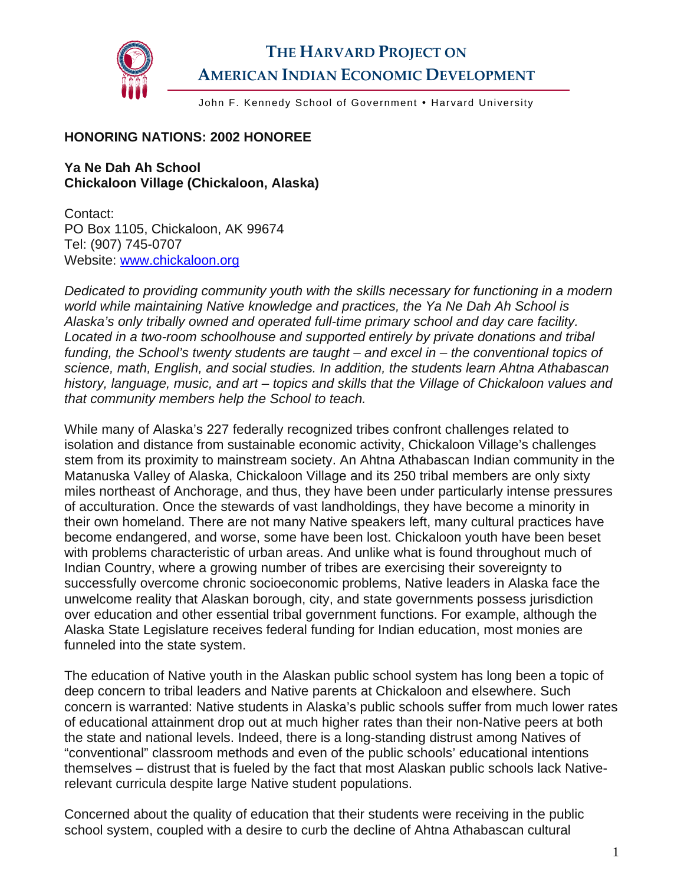

## **THE HARVARD PROJECT ON AMERICAN INDIAN ECONOMIC DEVELOPMENT**

John F. Kennedy School of Government . Harvard University

## **HONORING NATIONS: 2002 HONOREE**

## **Ya Ne Dah Ah School Chickaloon Village (Chickaloon, Alaska)**

Contact: PO Box 1105, Chickaloon, AK 99674 Tel: (907) 745-0707 Website: [www.chickaloon.org](http://www.chickaloon.org/)

*Dedicated to providing community youth with the skills necessary for functioning in a modern world while maintaining Native knowledge and practices, the Ya Ne Dah Ah School is Alaska's only tribally owned and operated full-time primary school and day care facility. Located in a two-room schoolhouse and supported entirely by private donations and tribal funding, the School's twenty students are taught – and excel in – the conventional topics of science, math, English, and social studies. In addition, the students learn Ahtna Athabascan history, language, music, and art – topics and skills that the Village of Chickaloon values and that community members help the School to teach.* 

While many of Alaska's 227 federally recognized tribes confront challenges related to isolation and distance from sustainable economic activity, Chickaloon Village's challenges stem from its proximity to mainstream society. An Ahtna Athabascan Indian community in the Matanuska Valley of Alaska, Chickaloon Village and its 250 tribal members are only sixty miles northeast of Anchorage, and thus, they have been under particularly intense pressures of acculturation. Once the stewards of vast landholdings, they have become a minority in their own homeland. There are not many Native speakers left, many cultural practices have become endangered, and worse, some have been lost. Chickaloon youth have been beset with problems characteristic of urban areas. And unlike what is found throughout much of Indian Country, where a growing number of tribes are exercising their sovereignty to successfully overcome chronic socioeconomic problems, Native leaders in Alaska face the unwelcome reality that Alaskan borough, city, and state governments possess jurisdiction over education and other essential tribal government functions. For example, although the Alaska State Legislature receives federal funding for Indian education, most monies are funneled into the state system.

The education of Native youth in the Alaskan public school system has long been a topic of deep concern to tribal leaders and Native parents at Chickaloon and elsewhere. Such concern is warranted: Native students in Alaska's public schools suffer from much lower rates of educational attainment drop out at much higher rates than their non-Native peers at both the state and national levels. Indeed, there is a long-standing distrust among Natives of "conventional" classroom methods and even of the public schools' educational intentions themselves – distrust that is fueled by the fact that most Alaskan public schools lack Nativerelevant curricula despite large Native student populations.

Concerned about the quality of education that their students were receiving in the public school system, coupled with a desire to curb the decline of Ahtna Athabascan cultural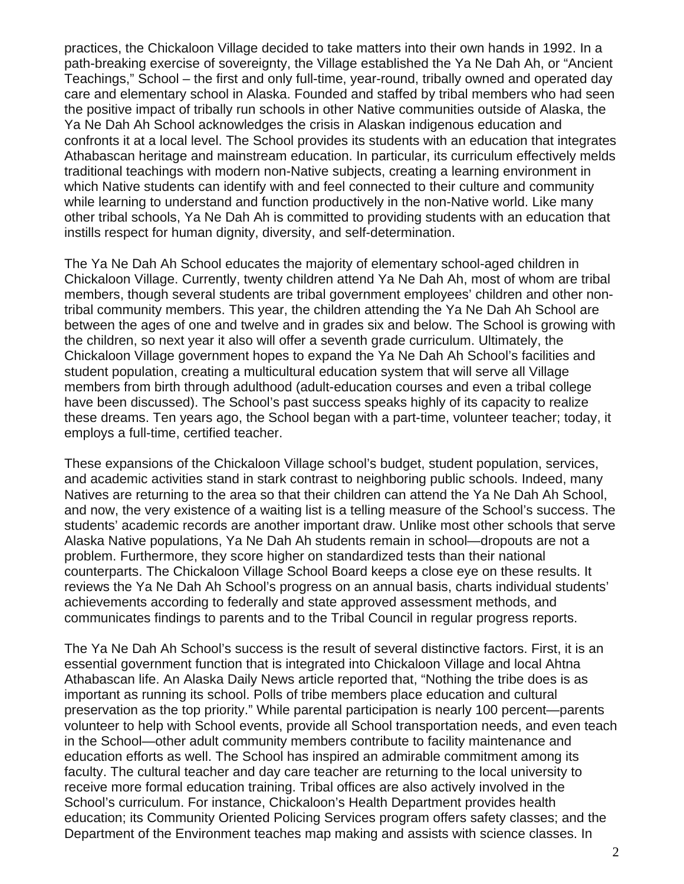practices, the Chickaloon Village decided to take matters into their own hands in 1992. In a path-breaking exercise of sovereignty, the Village established the Ya Ne Dah Ah, or "Ancient Teachings," School – the first and only full-time, year-round, tribally owned and operated day care and elementary school in Alaska. Founded and staffed by tribal members who had seen the positive impact of tribally run schools in other Native communities outside of Alaska, the Ya Ne Dah Ah School acknowledges the crisis in Alaskan indigenous education and confronts it at a local level. The School provides its students with an education that integrates Athabascan heritage and mainstream education. In particular, its curriculum effectively melds traditional teachings with modern non-Native subjects, creating a learning environment in which Native students can identify with and feel connected to their culture and community while learning to understand and function productively in the non-Native world. Like many other tribal schools, Ya Ne Dah Ah is committed to providing students with an education that instills respect for human dignity, diversity, and self-determination.

The Ya Ne Dah Ah School educates the majority of elementary school-aged children in Chickaloon Village. Currently, twenty children attend Ya Ne Dah Ah, most of whom are tribal members, though several students are tribal government employees' children and other nontribal community members. This year, the children attending the Ya Ne Dah Ah School are between the ages of one and twelve and in grades six and below. The School is growing with the children, so next year it also will offer a seventh grade curriculum. Ultimately, the Chickaloon Village government hopes to expand the Ya Ne Dah Ah School's facilities and student population, creating a multicultural education system that will serve all Village members from birth through adulthood (adult-education courses and even a tribal college have been discussed). The School's past success speaks highly of its capacity to realize these dreams. Ten years ago, the School began with a part-time, volunteer teacher; today, it employs a full-time, certified teacher.

These expansions of the Chickaloon Village school's budget, student population, services, and academic activities stand in stark contrast to neighboring public schools. Indeed, many Natives are returning to the area so that their children can attend the Ya Ne Dah Ah School, and now, the very existence of a waiting list is a telling measure of the School's success. The students' academic records are another important draw. Unlike most other schools that serve Alaska Native populations, Ya Ne Dah Ah students remain in school—dropouts are not a problem. Furthermore, they score higher on standardized tests than their national counterparts. The Chickaloon Village School Board keeps a close eye on these results. It reviews the Ya Ne Dah Ah School's progress on an annual basis, charts individual students' achievements according to federally and state approved assessment methods, and communicates findings to parents and to the Tribal Council in regular progress reports.

The Ya Ne Dah Ah School's success is the result of several distinctive factors. First, it is an essential government function that is integrated into Chickaloon Village and local Ahtna Athabascan life. An Alaska Daily News article reported that, "Nothing the tribe does is as important as running its school. Polls of tribe members place education and cultural preservation as the top priority." While parental participation is nearly 100 percent—parents volunteer to help with School events, provide all School transportation needs, and even teach in the School—other adult community members contribute to facility maintenance and education efforts as well. The School has inspired an admirable commitment among its faculty. The cultural teacher and day care teacher are returning to the local university to receive more formal education training. Tribal offices are also actively involved in the School's curriculum. For instance, Chickaloon's Health Department provides health education; its Community Oriented Policing Services program offers safety classes; and the Department of the Environment teaches map making and assists with science classes. In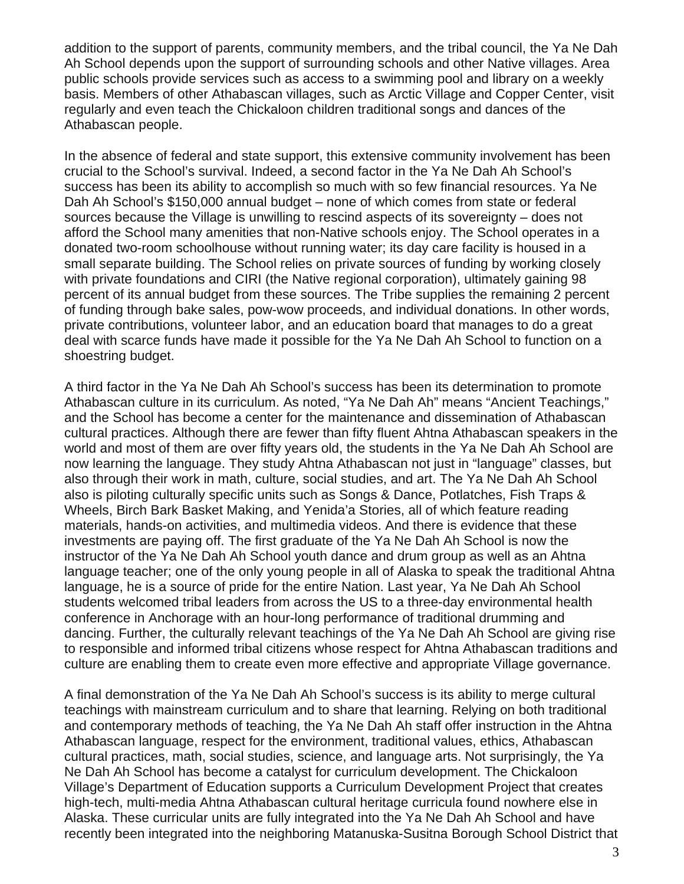addition to the support of parents, community members, and the tribal council, the Ya Ne Dah Ah School depends upon the support of surrounding schools and other Native villages. Area public schools provide services such as access to a swimming pool and library on a weekly basis. Members of other Athabascan villages, such as Arctic Village and Copper Center, visit regularly and even teach the Chickaloon children traditional songs and dances of the Athabascan people.

In the absence of federal and state support, this extensive community involvement has been crucial to the School's survival. Indeed, a second factor in the Ya Ne Dah Ah School's success has been its ability to accomplish so much with so few financial resources. Ya Ne Dah Ah School's \$150,000 annual budget – none of which comes from state or federal sources because the Village is unwilling to rescind aspects of its sovereignty – does not afford the School many amenities that non-Native schools enjoy. The School operates in a donated two-room schoolhouse without running water; its day care facility is housed in a small separate building. The School relies on private sources of funding by working closely with private foundations and CIRI (the Native regional corporation), ultimately gaining 98 percent of its annual budget from these sources. The Tribe supplies the remaining 2 percent of funding through bake sales, pow-wow proceeds, and individual donations. In other words, private contributions, volunteer labor, and an education board that manages to do a great deal with scarce funds have made it possible for the Ya Ne Dah Ah School to function on a shoestring budget.

A third factor in the Ya Ne Dah Ah School's success has been its determination to promote Athabascan culture in its curriculum. As noted, "Ya Ne Dah Ah" means "Ancient Teachings," and the School has become a center for the maintenance and dissemination of Athabascan cultural practices. Although there are fewer than fifty fluent Ahtna Athabascan speakers in the world and most of them are over fifty years old, the students in the Ya Ne Dah Ah School are now learning the language. They study Ahtna Athabascan not just in "language" classes, but also through their work in math, culture, social studies, and art. The Ya Ne Dah Ah School also is piloting culturally specific units such as Songs & Dance, Potlatches, Fish Traps & Wheels, Birch Bark Basket Making, and Yenida'a Stories, all of which feature reading materials, hands-on activities, and multimedia videos. And there is evidence that these investments are paying off. The first graduate of the Ya Ne Dah Ah School is now the instructor of the Ya Ne Dah Ah School youth dance and drum group as well as an Ahtna language teacher; one of the only young people in all of Alaska to speak the traditional Ahtna language, he is a source of pride for the entire Nation. Last year, Ya Ne Dah Ah School students welcomed tribal leaders from across the US to a three-day environmental health conference in Anchorage with an hour-long performance of traditional drumming and dancing. Further, the culturally relevant teachings of the Ya Ne Dah Ah School are giving rise to responsible and informed tribal citizens whose respect for Ahtna Athabascan traditions and culture are enabling them to create even more effective and appropriate Village governance.

A final demonstration of the Ya Ne Dah Ah School's success is its ability to merge cultural teachings with mainstream curriculum and to share that learning. Relying on both traditional and contemporary methods of teaching, the Ya Ne Dah Ah staff offer instruction in the Ahtna Athabascan language, respect for the environment, traditional values, ethics, Athabascan cultural practices, math, social studies, science, and language arts. Not surprisingly, the Ya Ne Dah Ah School has become a catalyst for curriculum development. The Chickaloon Village's Department of Education supports a Curriculum Development Project that creates high-tech, multi-media Ahtna Athabascan cultural heritage curricula found nowhere else in Alaska. These curricular units are fully integrated into the Ya Ne Dah Ah School and have recently been integrated into the neighboring Matanuska-Susitna Borough School District that